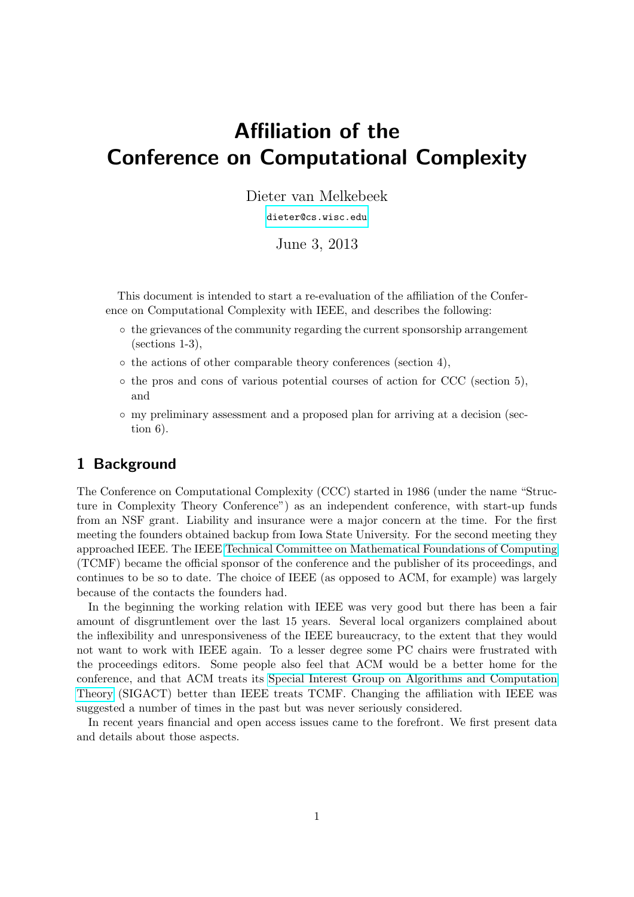# Affiliation of the Conference on Computational Complexity

Dieter van Melkebeek

[dieter@cs.wisc.edu](mailto:dieter@cs.wisc.edu)

June 3, 2013

This document is intended to start a re-evaluation of the affiliation of the Conference on Computational Complexity with IEEE, and describes the following:

- the grievances of the community regarding the current sponsorship arrangement (sections 1-3),
- the actions of other comparable theory conferences (section 4),
- the pros and cons of various potential courses of action for CCC (section 5), and
- my preliminary assessment and a proposed plan for arriving at a decision (section 6).

## 1 Background

The Conference on Computational Complexity (CCC) started in 1986 (under the name "Structure in Complexity Theory Conference") as an independent conference, with start-up funds from an NSF grant. Liability and insurance were a major concern at the time. For the first meeting the founders obtained backup from Iowa State University. For the second meeting they approached IEEE. The IEEE [Technical Committee on Mathematical Foundations of Computing](http://www.computer.org/portal/web/tcmf) (TCMF) became the official sponsor of the conference and the publisher of its proceedings, and continues to be so to date. The choice of IEEE (as opposed to ACM, for example) was largely because of the contacts the founders had.

In the beginning the working relation with IEEE was very good but there has been a fair amount of disgruntlement over the last 15 years. Several local organizers complained about the inflexibility and unresponsiveness of the IEEE bureaucracy, to the extent that they would not want to work with IEEE again. To a lesser degree some PC chairs were frustrated with the proceedings editors. Some people also feel that ACM would be a better home for the conference, and that ACM treats its [Special Interest Group on Algorithms and Computation](http://www.sigact.org) [Theory](http://www.sigact.org) (SIGACT) better than IEEE treats TCMF. Changing the affiliation with IEEE was suggested a number of times in the past but was never seriously considered.

In recent years financial and open access issues came to the forefront. We first present data and details about those aspects.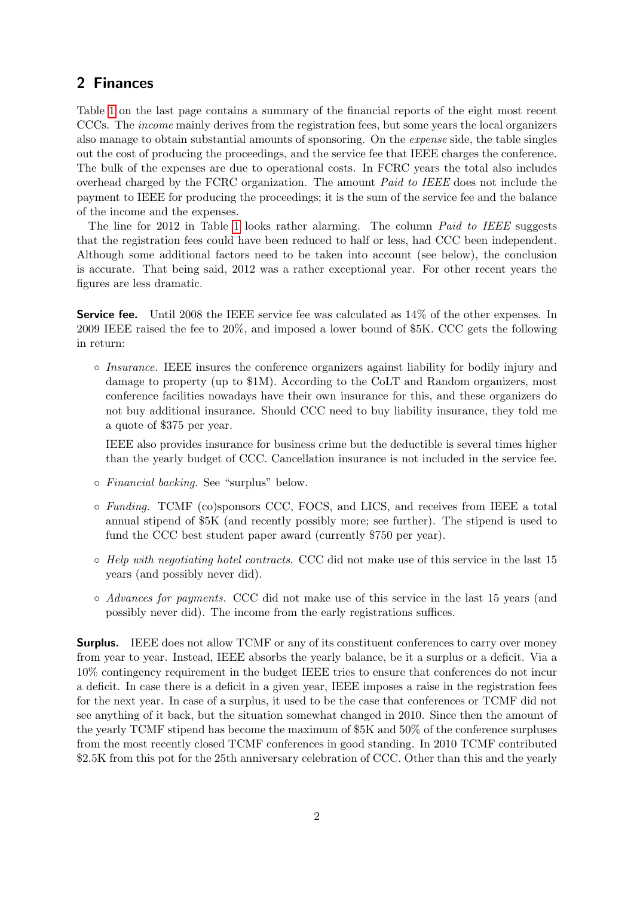## 2 Finances

Table [1](#page-7-0) on the last page contains a summary of the financial reports of the eight most recent CCCs. The income mainly derives from the registration fees, but some years the local organizers also manage to obtain substantial amounts of sponsoring. On the expense side, the table singles out the cost of producing the proceedings, and the service fee that IEEE charges the conference. The bulk of the expenses are due to operational costs. In FCRC years the total also includes overhead charged by the FCRC organization. The amount Paid to IEEE does not include the payment to IEEE for producing the proceedings; it is the sum of the service fee and the balance of the income and the expenses.

The line for 2012 in Table [1](#page-7-0) looks rather alarming. The column *Paid to IEEE* suggests that the registration fees could have been reduced to half or less, had CCC been independent. Although some additional factors need to be taken into account (see below), the conclusion is accurate. That being said, 2012 was a rather exceptional year. For other recent years the figures are less dramatic.

Service fee. Until 2008 the IEEE service fee was calculated as  $14\%$  of the other expenses. In 2009 IEEE raised the fee to 20%, and imposed a lower bound of \$5K. CCC gets the following in return:

◦ Insurance. IEEE insures the conference organizers against liability for bodily injury and damage to property (up to \$1M). According to the CoLT and Random organizers, most conference facilities nowadays have their own insurance for this, and these organizers do not buy additional insurance. Should CCC need to buy liability insurance, they told me a quote of \$375 per year.

IEEE also provides insurance for business crime but the deductible is several times higher than the yearly budget of CCC. Cancellation insurance is not included in the service fee.

- Financial backing. See "surplus" below.
- Funding. TCMF (co)sponsors CCC, FOCS, and LICS, and receives from IEEE a total annual stipend of \$5K (and recently possibly more; see further). The stipend is used to fund the CCC best student paper award (currently \$750 per year).
- Help with negotiating hotel contracts. CCC did not make use of this service in the last 15 years (and possibly never did).
- Advances for payments. CCC did not make use of this service in the last 15 years (and possibly never did). The income from the early registrations suffices.

**Surplus.** IEEE does not allow TCMF or any of its constituent conferences to carry over money from year to year. Instead, IEEE absorbs the yearly balance, be it a surplus or a deficit. Via a 10% contingency requirement in the budget IEEE tries to ensure that conferences do not incur a deficit. In case there is a deficit in a given year, IEEE imposes a raise in the registration fees for the next year. In case of a surplus, it used to be the case that conferences or TCMF did not see anything of it back, but the situation somewhat changed in 2010. Since then the amount of the yearly TCMF stipend has become the maximum of \$5K and 50% of the conference surpluses from the most recently closed TCMF conferences in good standing. In 2010 TCMF contributed \$2.5K from this pot for the 25th anniversary celebration of CCC. Other than this and the yearly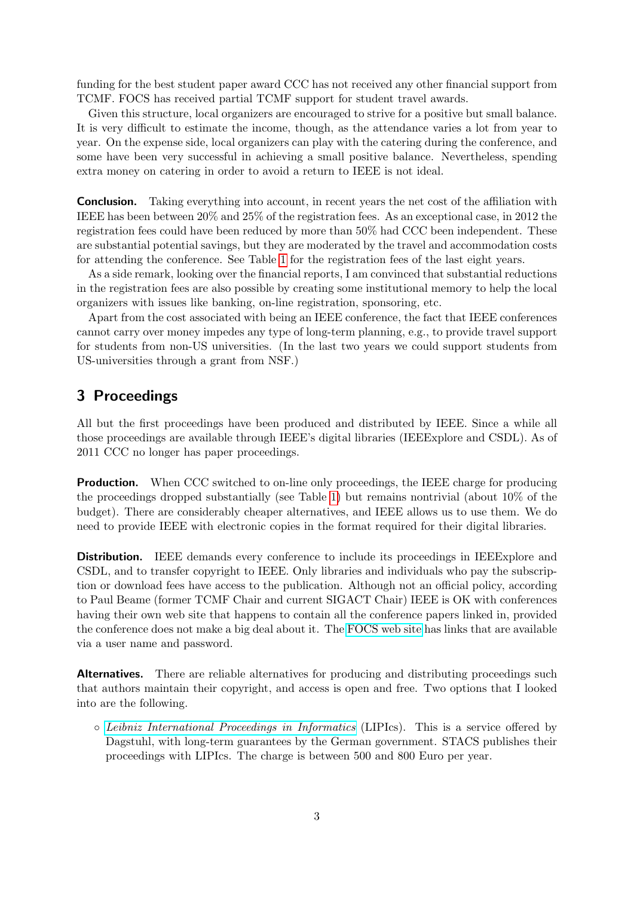funding for the best student paper award CCC has not received any other financial support from TCMF. FOCS has received partial TCMF support for student travel awards.

Given this structure, local organizers are encouraged to strive for a positive but small balance. It is very difficult to estimate the income, though, as the attendance varies a lot from year to year. On the expense side, local organizers can play with the catering during the conference, and some have been very successful in achieving a small positive balance. Nevertheless, spending extra money on catering in order to avoid a return to IEEE is not ideal.

**Conclusion.** Taking everything into account, in recent years the net cost of the affiliation with IEEE has been between 20% and 25% of the registration fees. As an exceptional case, in 2012 the registration fees could have been reduced by more than 50% had CCC been independent. These are substantial potential savings, but they are moderated by the travel and accommodation costs for attending the conference. See Table [1](#page-7-0) for the registration fees of the last eight years.

As a side remark, looking over the financial reports, I am convinced that substantial reductions in the registration fees are also possible by creating some institutional memory to help the local organizers with issues like banking, on-line registration, sponsoring, etc.

Apart from the cost associated with being an IEEE conference, the fact that IEEE conferences cannot carry over money impedes any type of long-term planning, e.g., to provide travel support for students from non-US universities. (In the last two years we could support students from US-universities through a grant from NSF.)

## 3 Proceedings

All but the first proceedings have been produced and distributed by IEEE. Since a while all those proceedings are available through IEEE's digital libraries (IEEExplore and CSDL). As of 2011 CCC no longer has paper proceedings.

**Production.** When CCC switched to on-line only proceedings, the IEEE charge for producing the proceedings dropped substantially (see Table [1\)](#page-7-0) but remains nontrivial (about 10% of the budget). There are considerably cheaper alternatives, and IEEE allows us to use them. We do need to provide IEEE with electronic copies in the format required for their digital libraries.

**Distribution.** IEEE demands every conference to include its proceedings in IEEExplore and CSDL, and to transfer copyright to IEEE. Only libraries and individuals who pay the subscription or download fees have access to the publication. Although not an official policy, according to Paul Beame (former TCMF Chair and current SIGACT Chair) IEEE is OK with conferences having their own web site that happens to contain all the conference papers linked in, provided the conference does not make a big deal about it. The [FOCS web site](http://www.ieee-focs.org) has links that are available via a user name and password.

Alternatives. There are reliable alternatives for producing and distributing proceedings such that authors maintain their copyright, and access is open and free. Two options that I looked into are the following.

◦ [Leibniz International Proceedings in Informatics](http://www.dagstuhl.de/en/publications/lipics) (LIPIcs). This is a service offered by Dagstuhl, with long-term guarantees by the German government. STACS publishes their proceedings with LIPIcs. The charge is between 500 and 800 Euro per year.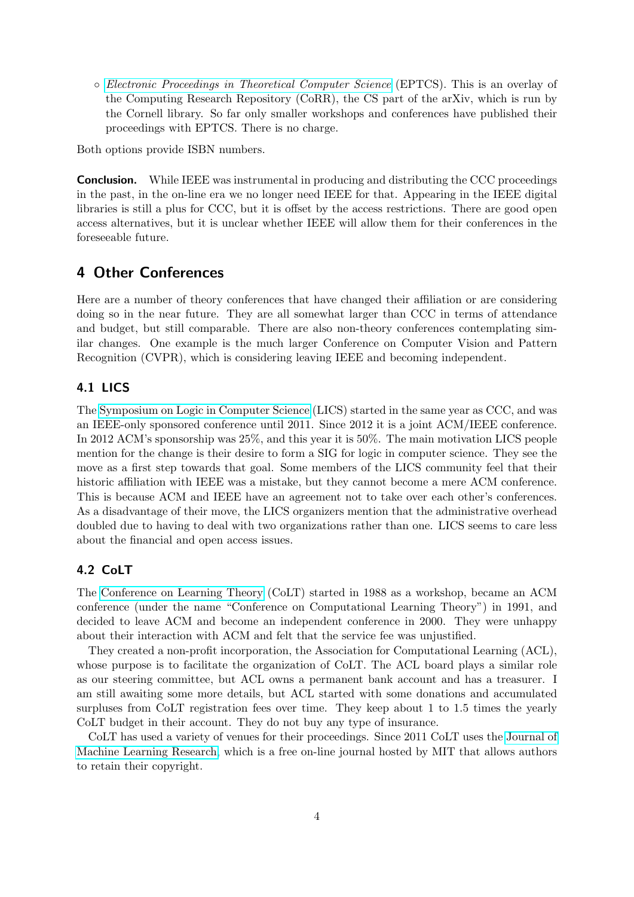◦ [Electronic Proceedings in Theoretical Computer Science](http://about.eptcs.org) (EPTCS). This is an overlay of the Computing Research Repository (CoRR), the CS part of the arXiv, which is run by the Cornell library. So far only smaller workshops and conferences have published their proceedings with EPTCS. There is no charge.

Both options provide ISBN numbers.

**Conclusion.** While IEEE was instrumental in producing and distributing the CCC proceedings in the past, in the on-line era we no longer need IEEE for that. Appearing in the IEEE digital libraries is still a plus for CCC, but it is offset by the access restrictions. There are good open access alternatives, but it is unclear whether IEEE will allow them for their conferences in the foreseeable future.

## 4 Other Conferences

Here are a number of theory conferences that have changed their affiliation or are considering doing so in the near future. They are all somewhat larger than CCC in terms of attendance and budget, but still comparable. There are also non-theory conferences contemplating similar changes. One example is the much larger Conference on Computer Vision and Pattern Recognition (CVPR), which is considering leaving IEEE and becoming independent.

#### 4.1 LICS

The [Symposium on Logic in Computer Science](http://lii.rwth-aachen.de/lics) (LICS) started in the same year as CCC, and was an IEEE-only sponsored conference until 2011. Since 2012 it is a joint ACM/IEEE conference. In 2012 ACM's sponsorship was 25%, and this year it is 50%. The main motivation LICS people mention for the change is their desire to form a SIG for logic in computer science. They see the move as a first step towards that goal. Some members of the LICS community feel that their historic affiliation with IEEE was a mistake, but they cannot become a mere ACM conference. This is because ACM and IEEE have an agreement not to take over each other's conferences. As a disadvantage of their move, the LICS organizers mention that the administrative overhead doubled due to having to deal with two organizations rather than one. LICS seems to care less about the financial and open access issues.

#### 4.2 CoLT

The [Conference on Learning Theory](http://learningtheory.org) (CoLT) started in 1988 as a workshop, became an ACM conference (under the name "Conference on Computational Learning Theory") in 1991, and decided to leave ACM and become an independent conference in 2000. They were unhappy about their interaction with ACM and felt that the service fee was unjustified.

They created a non-profit incorporation, the Association for Computational Learning (ACL), whose purpose is to facilitate the organization of CoLT. The ACL board plays a similar role as our steering committee, but ACL owns a permanent bank account and has a treasurer. I am still awaiting some more details, but ACL started with some donations and accumulated surpluses from CoLT registration fees over time. They keep about 1 to 1.5 times the yearly CoLT budget in their account. They do not buy any type of insurance.

CoLT has used a variety of venues for their proceedings. Since 2011 CoLT uses the [Journal of](http://jmlr.org) [Machine Learning Research,](http://jmlr.org) which is a free on-line journal hosted by MIT that allows authors to retain their copyright.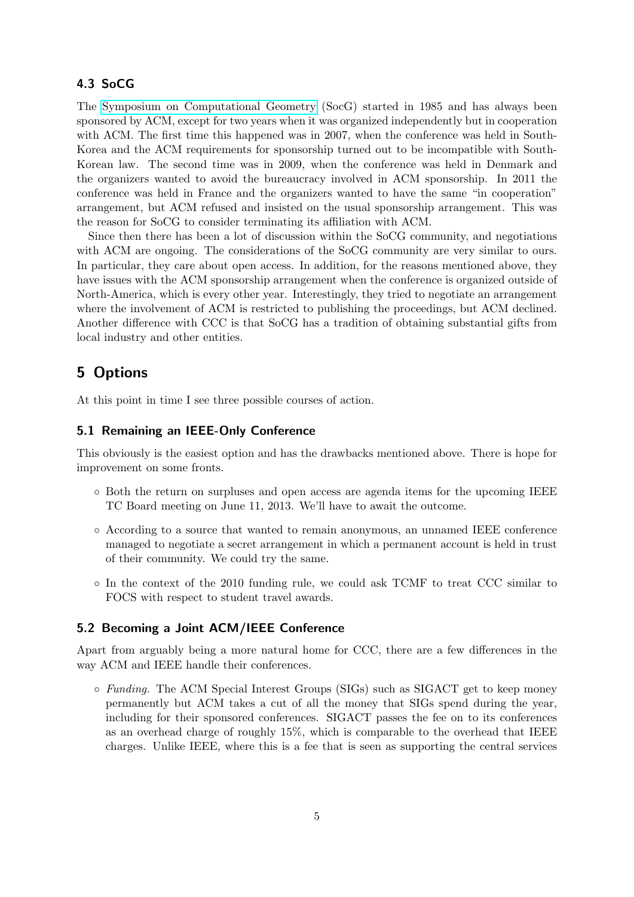#### 4.3 SoCG

The [Symposium on Computational Geometry](http://www.computational-geometry.org) (SocG) started in 1985 and has always been sponsored by ACM, except for two years when it was organized independently but in cooperation with ACM. The first time this happened was in 2007, when the conference was held in South-Korea and the ACM requirements for sponsorship turned out to be incompatible with South-Korean law. The second time was in 2009, when the conference was held in Denmark and the organizers wanted to avoid the bureaucracy involved in ACM sponsorship. In 2011 the conference was held in France and the organizers wanted to have the same "in cooperation" arrangement, but ACM refused and insisted on the usual sponsorship arrangement. This was the reason for SoCG to consider terminating its affiliation with ACM.

Since then there has been a lot of discussion within the SoCG community, and negotiations with ACM are ongoing. The considerations of the SoCG community are very similar to ours. In particular, they care about open access. In addition, for the reasons mentioned above, they have issues with the ACM sponsorship arrangement when the conference is organized outside of North-America, which is every other year. Interestingly, they tried to negotiate an arrangement where the involvement of ACM is restricted to publishing the proceedings, but ACM declined. Another difference with CCC is that SoCG has a tradition of obtaining substantial gifts from local industry and other entities.

## 5 Options

At this point in time I see three possible courses of action.

#### 5.1 Remaining an IEEE-Only Conference

This obviously is the easiest option and has the drawbacks mentioned above. There is hope for improvement on some fronts.

- Both the return on surpluses and open access are agenda items for the upcoming IEEE TC Board meeting on June 11, 2013. We'll have to await the outcome.
- According to a source that wanted to remain anonymous, an unnamed IEEE conference managed to negotiate a secret arrangement in which a permanent account is held in trust of their community. We could try the same.
- In the context of the 2010 funding rule, we could ask TCMF to treat CCC similar to FOCS with respect to student travel awards.

#### 5.2 Becoming a Joint ACM/IEEE Conference

Apart from arguably being a more natural home for CCC, there are a few differences in the way ACM and IEEE handle their conferences.

◦ Funding. The ACM Special Interest Groups (SIGs) such as SIGACT get to keep money permanently but ACM takes a cut of all the money that SIGs spend during the year, including for their sponsored conferences. SIGACT passes the fee on to its conferences as an overhead charge of roughly 15%, which is comparable to the overhead that IEEE charges. Unlike IEEE, where this is a fee that is seen as supporting the central services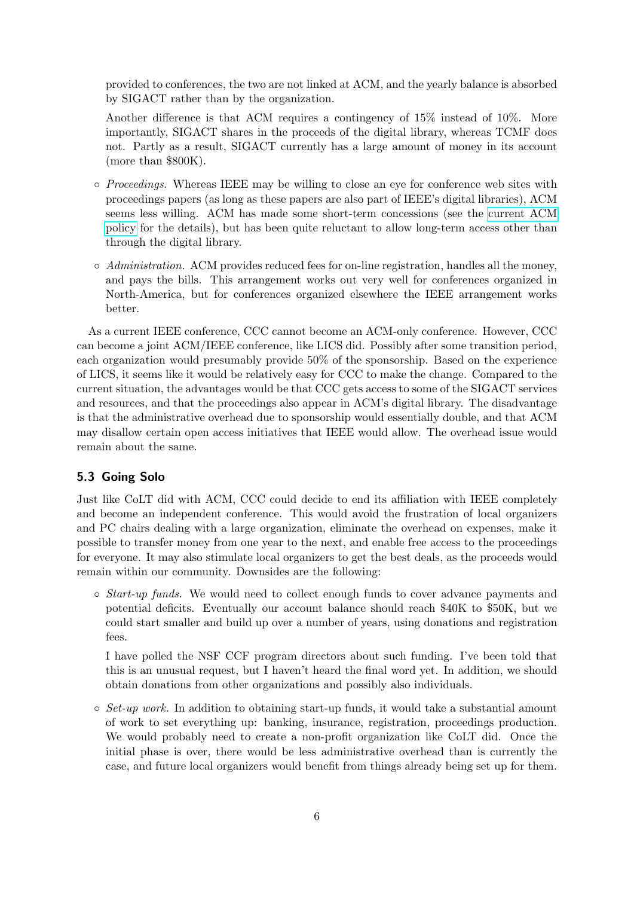provided to conferences, the two are not linked at ACM, and the yearly balance is absorbed by SIGACT rather than by the organization.

Another difference is that ACM requires a contingency of 15% instead of 10%. More importantly, SIGACT shares in the proceeds of the digital library, whereas TCMF does not. Partly as a result, SIGACT currently has a large amount of money in its account (more than \$800K).

- Proceedings. Whereas IEEE may be willing to close an eye for conference web sites with proceedings papers (as long as these papers are also part of IEEE's digital libraries), ACM seems less willing. ACM has made some short-term concessions (see the [current ACM](http://www.acm.org/news/featured/author-rights-management) [policy](http://www.acm.org/news/featured/author-rights-management) for the details), but has been quite reluctant to allow long-term access other than through the digital library.
- $\circ$  Administration. ACM provides reduced fees for on-line registration, handles all the money, and pays the bills. This arrangement works out very well for conferences organized in North-America, but for conferences organized elsewhere the IEEE arrangement works better.

As a current IEEE conference, CCC cannot become an ACM-only conference. However, CCC can become a joint ACM/IEEE conference, like LICS did. Possibly after some transition period, each organization would presumably provide 50% of the sponsorship. Based on the experience of LICS, it seems like it would be relatively easy for CCC to make the change. Compared to the current situation, the advantages would be that CCC gets access to some of the SIGACT services and resources, and that the proceedings also appear in ACM's digital library. The disadvantage is that the administrative overhead due to sponsorship would essentially double, and that ACM may disallow certain open access initiatives that IEEE would allow. The overhead issue would remain about the same.

#### 5.3 Going Solo

Just like CoLT did with ACM, CCC could decide to end its affiliation with IEEE completely and become an independent conference. This would avoid the frustration of local organizers and PC chairs dealing with a large organization, eliminate the overhead on expenses, make it possible to transfer money from one year to the next, and enable free access to the proceedings for everyone. It may also stimulate local organizers to get the best deals, as the proceeds would remain within our community. Downsides are the following:

◦ Start-up funds. We would need to collect enough funds to cover advance payments and potential deficits. Eventually our account balance should reach \$40K to \$50K, but we could start smaller and build up over a number of years, using donations and registration fees.

I have polled the NSF CCF program directors about such funding. I've been told that this is an unusual request, but I haven't heard the final word yet. In addition, we should obtain donations from other organizations and possibly also individuals.

 $\circ$  *Set-up work.* In addition to obtaining start-up funds, it would take a substantial amount of work to set everything up: banking, insurance, registration, proceedings production. We would probably need to create a non-profit organization like CoLT did. Once the initial phase is over, there would be less administrative overhead than is currently the case, and future local organizers would benefit from things already being set up for them.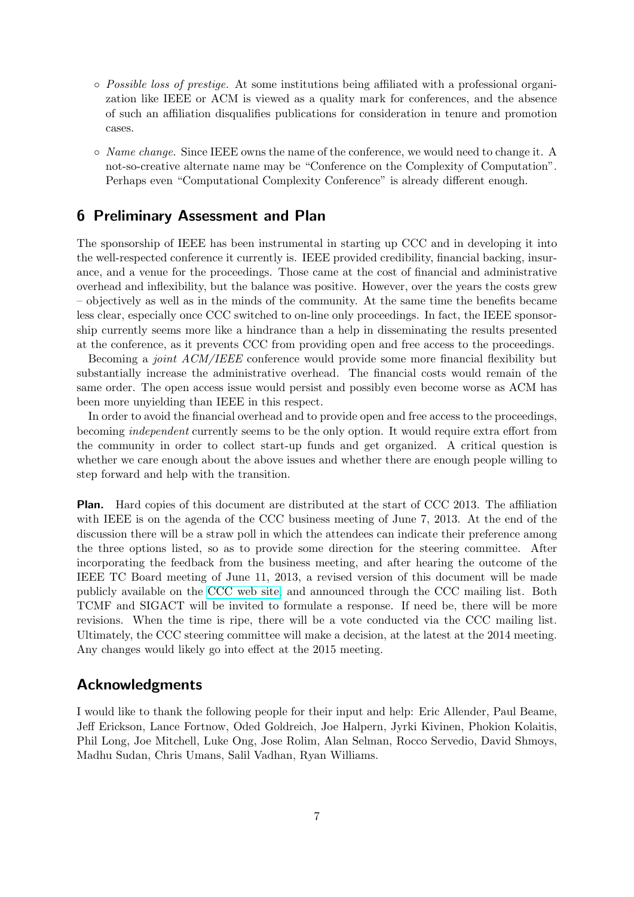- Possible loss of prestige. At some institutions being affiliated with a professional organization like IEEE or ACM is viewed as a quality mark for conferences, and the absence of such an affiliation disqualifies publications for consideration in tenure and promotion cases.
- $\circ$  *Name change.* Since IEEE owns the name of the conference, we would need to change it. A not-so-creative alternate name may be "Conference on the Complexity of Computation". Perhaps even "Computational Complexity Conference" is already different enough.

### 6 Preliminary Assessment and Plan

The sponsorship of IEEE has been instrumental in starting up CCC and in developing it into the well-respected conference it currently is. IEEE provided credibility, financial backing, insurance, and a venue for the proceedings. Those came at the cost of financial and administrative overhead and inflexibility, but the balance was positive. However, over the years the costs grew – objectively as well as in the minds of the community. At the same time the benefits became less clear, especially once CCC switched to on-line only proceedings. In fact, the IEEE sponsorship currently seems more like a hindrance than a help in disseminating the results presented at the conference, as it prevents CCC from providing open and free access to the proceedings.

Becoming a *joint ACM/IEEE* conference would provide some more financial flexibility but substantially increase the administrative overhead. The financial costs would remain of the same order. The open access issue would persist and possibly even become worse as ACM has been more unyielding than IEEE in this respect.

In order to avoid the financial overhead and to provide open and free access to the proceedings, becoming independent currently seems to be the only option. It would require extra effort from the community in order to collect start-up funds and get organized. A critical question is whether we care enough about the above issues and whether there are enough people willing to step forward and help with the transition.

Plan. Hard copies of this document are distributed at the start of CCC 2013. The affiliation with IEEE is on the agenda of the CCC business meeting of June 7, 2013. At the end of the discussion there will be a straw poll in which the attendees can indicate their preference among the three options listed, so as to provide some direction for the steering committee. After incorporating the feedback from the business meeting, and after hearing the outcome of the IEEE TC Board meeting of June 11, 2013, a revised version of this document will be made publicly available on the [CCC web site,](http://computationalcomplexity.org) and announced through the CCC mailing list. Both TCMF and SIGACT will be invited to formulate a response. If need be, there will be more revisions. When the time is ripe, there will be a vote conducted via the CCC mailing list. Ultimately, the CCC steering committee will make a decision, at the latest at the 2014 meeting. Any changes would likely go into effect at the 2015 meeting.

#### Acknowledgments

I would like to thank the following people for their input and help: Eric Allender, Paul Beame, Jeff Erickson, Lance Fortnow, Oded Goldreich, Joe Halpern, Jyrki Kivinen, Phokion Kolaitis, Phil Long, Joe Mitchell, Luke Ong, Jose Rolim, Alan Selman, Rocco Servedio, David Shmoys, Madhu Sudan, Chris Umans, Salil Vadhan, Ryan Williams.